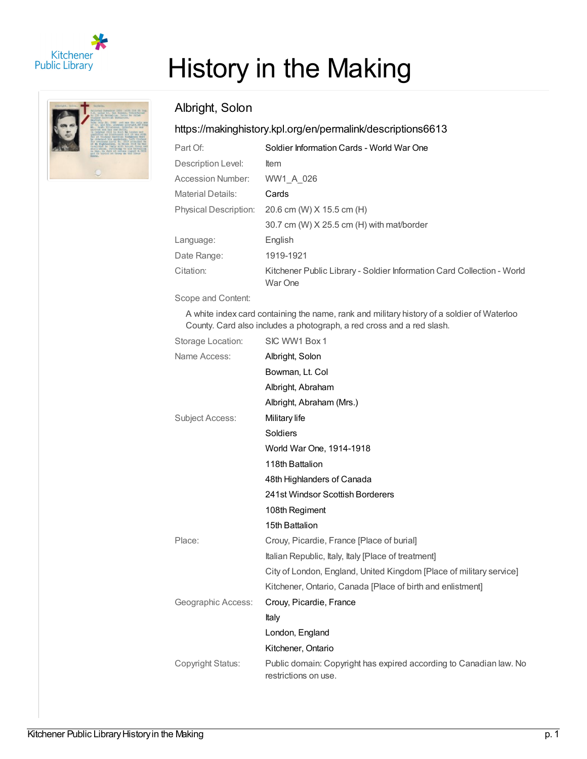

# History in the Making

#### Albright, Solon

#### <https://makinghistory.kpl.org/en/permalink/descriptions6613>

| Part Of:                     | Soldier Information Cards - World War One                                         |
|------------------------------|-----------------------------------------------------------------------------------|
| Description Level:           | ltem                                                                              |
| Accession Number:            | WW1 A 026                                                                         |
| <b>Material Details:</b>     | Cards                                                                             |
| <b>Physical Description:</b> | 20.6 cm (W) X 15.5 cm (H)                                                         |
|                              | 30.7 cm (W) X 25.5 cm (H) with mat/border                                         |
| Language:                    | English                                                                           |
| Date Range:                  | 1919-1921                                                                         |
| Citation:                    | Kitchener Public Library - Soldier Information Card Collection - World<br>War One |

Scope and Content:

A white index card containing the name, rank and military history of a soldier of Waterloo County. Card also includes a photograph, a red cross and a red slash.

| Storage Location:      | SIC WW1 Box 1                                                                              |
|------------------------|--------------------------------------------------------------------------------------------|
| Name Access:           | Albright, Solon                                                                            |
|                        | Bowman, Lt. Col                                                                            |
|                        | Albright, Abraham                                                                          |
|                        | Albright, Abraham (Mrs.)                                                                   |
| <b>Subject Access:</b> | Military life                                                                              |
|                        | Soldiers                                                                                   |
|                        | World War One, 1914-1918                                                                   |
|                        | 118th Battalion                                                                            |
|                        | 48th Highlanders of Canada                                                                 |
|                        | 241st Windsor Scottish Borderers                                                           |
|                        | 108th Regiment                                                                             |
|                        | 15th Battalion                                                                             |
| Place:                 | Crouy, Picardie, France [Place of burial]                                                  |
|                        | Italian Republic, Italy, Italy [Place of treatment]                                        |
|                        | City of London, England, United Kingdom [Place of military service]                        |
|                        | Kitchener, Ontario, Canada [Place of birth and enlistment]                                 |
| Geographic Access:     | Crouy, Picardie, France                                                                    |
|                        | Italy                                                                                      |
|                        | London, England                                                                            |
|                        | Kitchener, Ontario                                                                         |
| Copyright Status:      | Public domain: Copyright has expired according to Canadian law. No<br>restrictions on use. |
|                        |                                                                                            |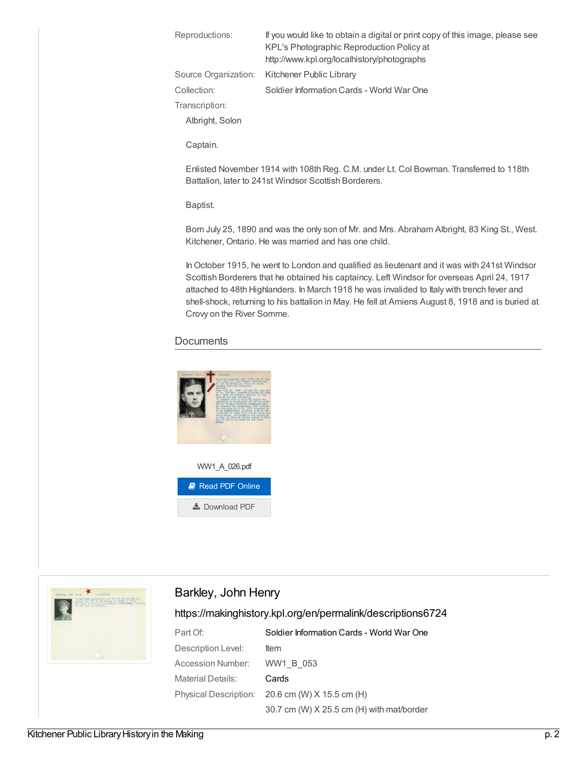| Reproductions:  | If you would like to obtain a digital or print copy of this image, please see<br>KPL's Photographic Reproduction Policy at<br>http://www.kpl.org/localhistory/photographs |
|-----------------|---------------------------------------------------------------------------------------------------------------------------------------------------------------------------|
|                 | Source Organization: Kitchener Public Library                                                                                                                             |
| Collection:     | Soldier Information Cards - World War One                                                                                                                                 |
| Transcription:  |                                                                                                                                                                           |
| Albright, Solon |                                                                                                                                                                           |

Captain.

Enlisted November 1914 with 108th Reg. C.M. under Lt. Col Bowman. Transferred to 118th Battalion, later to 241st Windsor Scottish Borderers.

Baptist.

Born July 25, 1890 and was the only son of Mr. and Mrs. Abraham Albright, 83 King St., West. Kitchener, Ontario. He was married and has one child.

In October 1915, he went to London and qualified as lieutenant and it was with 241st Windsor Scottish Borderers that he obtained his captaincy. Left Windsor for overseas April 24, 1917 attached to 48th Highlanders. In March 1918 he was invalided to Italy with trench fever and shell-shock, returning to his battalion in May. He fell at Amiens August 8, 1918 and is buried at Crovy on the River Somme.

#### **Documents**





#### Barkley, John Henry

<https://makinghistory.kpl.org/en/permalink/descriptions6724>

| Part Of:           | Soldier Information Cards - World War One         |
|--------------------|---------------------------------------------------|
| Description Level: | ltem                                              |
| Accession Number:  | WW1 B 053                                         |
| Material Details:  | Cards                                             |
|                    | Physical Description: $20.6$ cm (W) X 15.5 cm (H) |
|                    | 30.7 cm (W) X 25.5 cm (H) with mat/border         |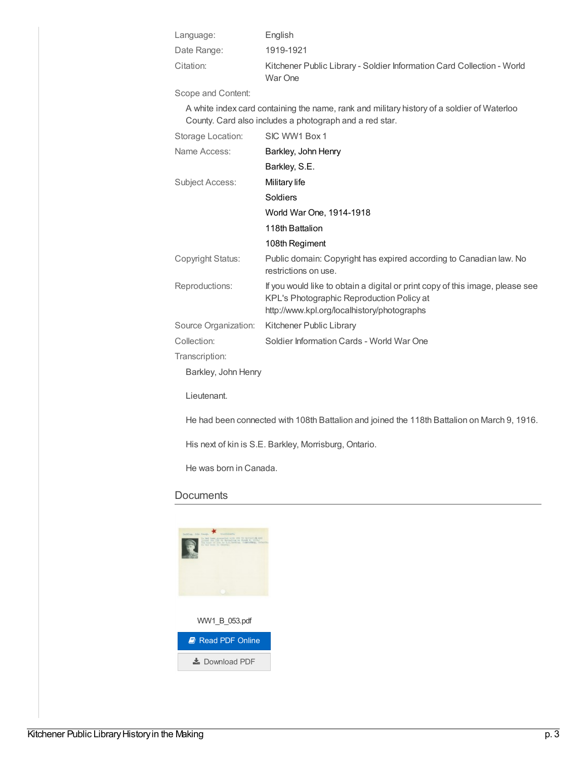| Language:   | English                                                                           |
|-------------|-----------------------------------------------------------------------------------|
| Date Range: | 1919-1921                                                                         |
| Citation:   | Kitchener Public Library - Soldier Information Card Collection - World<br>War One |

Scope and Content:

A white index card containing the name, rank and military history of a soldier of Waterloo County. Card also includes a photograph and a red star.

| Storage Location:      | SIC WW1 Box 1                                                                                                                                                             |
|------------------------|---------------------------------------------------------------------------------------------------------------------------------------------------------------------------|
| Name Access:           | Barkley, John Henry                                                                                                                                                       |
|                        | Barkley, S.E.                                                                                                                                                             |
| <b>Subject Access:</b> | Military life                                                                                                                                                             |
|                        | <b>Soldiers</b>                                                                                                                                                           |
|                        | World War One, 1914-1918                                                                                                                                                  |
|                        | 118th Battalion                                                                                                                                                           |
|                        | 108th Regiment                                                                                                                                                            |
| Copyright Status:      | Public domain: Copyright has expired according to Canadian law. No<br>restrictions on use.                                                                                |
| Reproductions:         | If you would like to obtain a digital or print copy of this image, please see<br>KPL's Photographic Reproduction Policy at<br>http://www.kpl.org/localhistory/photographs |
| Source Organization:   | Kitchener Public Library                                                                                                                                                  |
| Collection:            | Soldier Information Cards - World War One                                                                                                                                 |
| Transcription:         |                                                                                                                                                                           |
| Barkley, John Henry    |                                                                                                                                                                           |
| Lieutenant.            |                                                                                                                                                                           |

He had been connected with 108th Battalion and joined the 118th Battalion on March 9, 1916.

His next of kin is S.E. Barkley, Morrisburg, Ontario.

He was born in Canada.

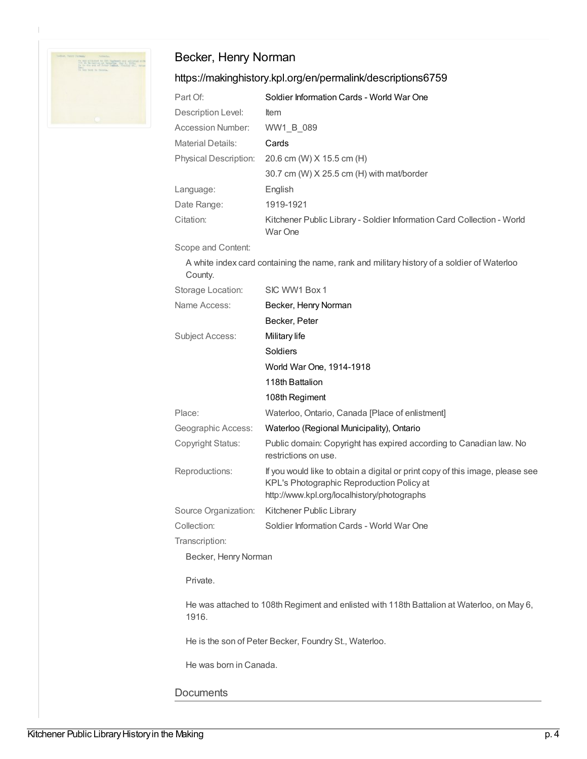

### Becker, Henry Norman

#### <https://makinghistory.kpl.org/en/permalink/descriptions6759>

| 20.6 cm (W) X 15.5 cm (H)                                              |
|------------------------------------------------------------------------|
| 30.7 cm (W) X 25.5 cm (H) with mat/border                              |
|                                                                        |
|                                                                        |
| Kitchener Public Library - Soldier Information Card Collection - World |
|                                                                        |

Scope and Content:

A white index card containing the name, rank and military history of a soldier of Waterloo County.

| Storage Location:      | SIC WW1 Box 1                                                                                                                                                             |
|------------------------|---------------------------------------------------------------------------------------------------------------------------------------------------------------------------|
| Name Access:           | Becker, Henry Norman                                                                                                                                                      |
|                        | Becker, Peter                                                                                                                                                             |
| <b>Subject Access:</b> | Military life                                                                                                                                                             |
|                        | Soldiers                                                                                                                                                                  |
|                        | World War One, 1914-1918                                                                                                                                                  |
|                        | 118th Battalion                                                                                                                                                           |
|                        | 108th Regiment                                                                                                                                                            |
| Place:                 | Waterloo, Ontario, Canada [Place of enlistment]                                                                                                                           |
| Geographic Access:     | Waterloo (Regional Municipality), Ontario                                                                                                                                 |
| Copyright Status:      | Public domain: Copyright has expired according to Canadian law. No<br>restrictions on use.                                                                                |
| Reproductions:         | If you would like to obtain a digital or print copy of this image, please see<br>KPL's Photographic Reproduction Policy at<br>http://www.kpl.org/localhistory/photographs |
| Source Organization:   | Kitchener Public Library                                                                                                                                                  |
| Collection:            | Soldier Information Cards - World War One                                                                                                                                 |
| Transcription:         |                                                                                                                                                                           |
| Becker, Henry Norman   |                                                                                                                                                                           |

Private.

He was attached to 108th Regiment and enlisted with 118th Battalion at Waterloo, on May 6, 1916.

He is the son of Peter Becker, Foundry St., Waterloo.

He was born in Canada.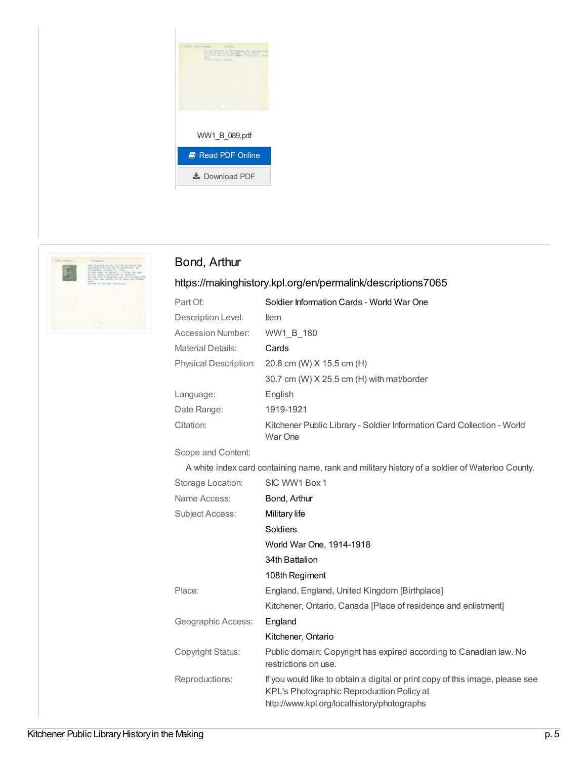



#### Bond, Arthur

#### <https://makinghistory.kpl.org/en/permalink/descriptions7065>

| Part Of:                     | Soldier Information Cards - World War One                                         |
|------------------------------|-----------------------------------------------------------------------------------|
| Description Level:           | <b>Item</b>                                                                       |
| Accession Number:            | WW1 B 180                                                                         |
| <b>Material Details:</b>     | Cards                                                                             |
| <b>Physical Description:</b> | 20.6 cm (W) X 15.5 cm (H)                                                         |
|                              | 30.7 cm (W) $X$ 25.5 cm (H) with mat/border                                       |
| Language:                    | English                                                                           |
| Date Range:                  | 1919-1921                                                                         |
| Citation:                    | Kitchener Public Library - Soldier Information Card Collection - World<br>War One |

#### Scope and Content:

A white index card containing name, rank and military history of a soldier of Waterloo County.

| Storage Location:  | SIC WW1 Box 1                                                                                                                                                             |
|--------------------|---------------------------------------------------------------------------------------------------------------------------------------------------------------------------|
| Name Access:       | Bond, Arthur                                                                                                                                                              |
| Subject Access:    | Military life                                                                                                                                                             |
|                    | Soldiers                                                                                                                                                                  |
|                    | World War One, 1914-1918                                                                                                                                                  |
|                    | 34th Battalion                                                                                                                                                            |
|                    | 108th Regiment                                                                                                                                                            |
| Place:             | England, England, United Kingdom [Birthplace]                                                                                                                             |
|                    | Kitchener, Ontario, Canada [Place of residence and enlistment]                                                                                                            |
| Geographic Access: | England                                                                                                                                                                   |
|                    | Kitchener, Ontario                                                                                                                                                        |
| Copyright Status:  | Public domain: Copyright has expired according to Canadian law. No<br>restrictions on use.                                                                                |
| Reproductions:     | If you would like to obtain a digital or print copy of this image, please see<br>KPL's Photographic Reproduction Policy at<br>http://www.kpl.org/localhistory/photographs |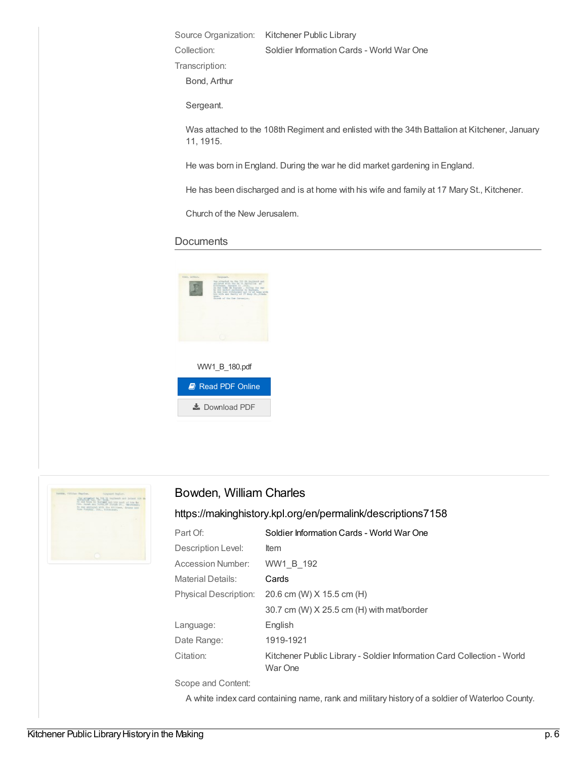Source Organization: Kitchener Public Library

Collection: Soldier Information Cards - World War One

Transcription:

Bond, Arthur

Sergeant.

Was attached to the 108th Regiment and enlisted with the 34th Battalion at Kitchener, January 11, 1915.

He was born in England. During the war he did market gardening in England.

He has been discharged and is at home with his wife and family at 17 Mary St., Kitchener.

Church of the New Jerusalem.

#### **Documents**





#### Bowden, William Charles

#### <https://makinghistory.kpl.org/en/permalink/descriptions7158>

| Part Of:                 | Soldier Information Cards - World War One                                         |
|--------------------------|-----------------------------------------------------------------------------------|
| Description Level:       | ltem                                                                              |
| Accession Number:        | WW1 B 192                                                                         |
| <b>Material Details:</b> | Cards                                                                             |
| Physical Description:    | 20.6 cm (W) X 15.5 cm (H)                                                         |
|                          | 30.7 cm (W) X 25.5 cm (H) with mat/border                                         |
| Language:                | English                                                                           |
| Date Range:              | 1919-1921                                                                         |
| Citation:                | Kitchener Public Library - Soldier Information Card Collection - World<br>War One |

Scope and Content:

A white index card containing name, rank and military history of a soldier of Waterloo County.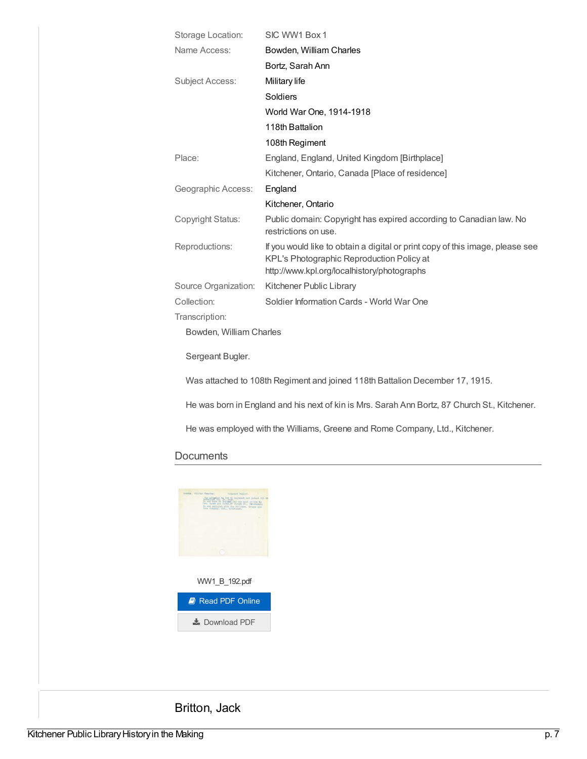| Storage Location:       | SIC WW1 Box 1                                                                                                                                                             |
|-------------------------|---------------------------------------------------------------------------------------------------------------------------------------------------------------------------|
| Name Access:            | Bowden, William Charles                                                                                                                                                   |
|                         | Bortz, Sarah Ann                                                                                                                                                          |
| <b>Subject Access:</b>  | Military life                                                                                                                                                             |
|                         | Soldiers                                                                                                                                                                  |
|                         | World War One, 1914-1918                                                                                                                                                  |
|                         | 118th Battalion                                                                                                                                                           |
|                         | 108th Regiment                                                                                                                                                            |
| Place:                  | England, England, United Kingdom [Birthplace]                                                                                                                             |
|                         | Kitchener, Ontario, Canada [Place of residence]                                                                                                                           |
| Geographic Access:      | England                                                                                                                                                                   |
|                         | Kitchener, Ontario                                                                                                                                                        |
| Copyright Status:       | Public domain: Copyright has expired according to Canadian law. No<br>restrictions on use.                                                                                |
| Reproductions:          | If you would like to obtain a digital or print copy of this image, please see<br>KPL's Photographic Reproduction Policy at<br>http://www.kpl.org/localhistory/photographs |
| Source Organization:    | Kitchener Public Library                                                                                                                                                  |
| Collection:             | Soldier Information Cards - World War One                                                                                                                                 |
| Transcription:          |                                                                                                                                                                           |
| Bowden, William Charles |                                                                                                                                                                           |
| Sergeant Bugler.        |                                                                                                                                                                           |
|                         | Was attached to 108th Regiment and joined 118th Battalion December 17, 1915.                                                                                              |
|                         | He was born in England and his next of kin is Mrs. Sarah Ann Bortz, 87 Church St., Kitchener.                                                                             |

He was employed with the Williams, Greene and Rome Company, Ltd., Kitchener.

# **Documents**



Britton, Jack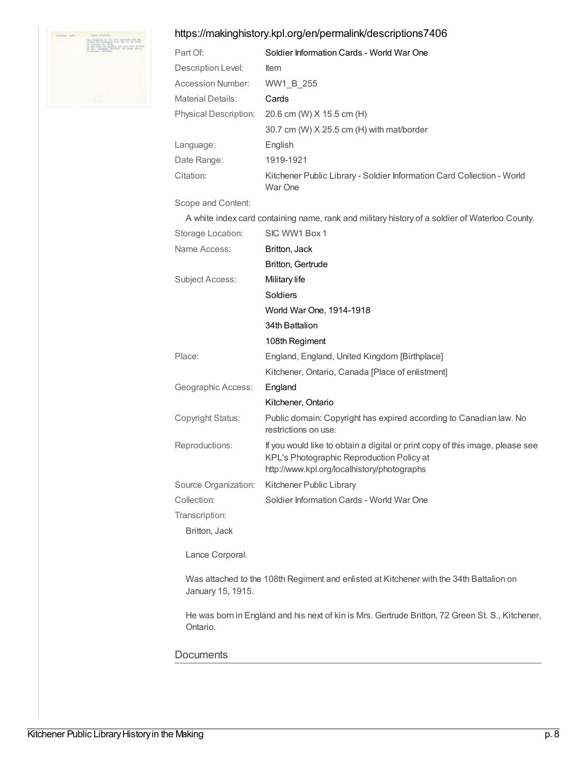

#### <https://makinghistory.kpl.org/en/permalink/descriptions7406>

| Part Of:                 | Soldier Information Cards - World War One                                                                                                                                 |
|--------------------------|---------------------------------------------------------------------------------------------------------------------------------------------------------------------------|
| Description Level:       | ltem                                                                                                                                                                      |
| Accession Number:        | WW1_B_255                                                                                                                                                                 |
| <b>Material Details:</b> | Cards                                                                                                                                                                     |
| Physical Description:    | 20.6 cm (W) X 15.5 cm (H)                                                                                                                                                 |
|                          | 30.7 cm (W) X 25.5 cm (H) with mat/border                                                                                                                                 |
| Language:                | English                                                                                                                                                                   |
| Date Range:              | 1919-1921                                                                                                                                                                 |
| Citation:                | Kitchener Public Library - Soldier Information Card Collection - World<br>War One                                                                                         |
| Scope and Content:       |                                                                                                                                                                           |
|                          | A white index card containing name, rank and military history of a soldier of Waterloo County.                                                                            |
| Storage Location:        | SIC WW1 Box 1                                                                                                                                                             |
| Name Access:             | Britton, Jack                                                                                                                                                             |
|                          | <b>Britton, Gertrude</b>                                                                                                                                                  |
| Subject Access:          | Military life                                                                                                                                                             |
|                          | Soldiers                                                                                                                                                                  |
|                          | World War One, 1914-1918                                                                                                                                                  |
|                          | 34th Battalion                                                                                                                                                            |
|                          | 108th Regiment                                                                                                                                                            |
| Place:                   | England, England, United Kingdom [Birthplace]                                                                                                                             |
|                          | Kitchener, Ontario, Canada [Place of enlistment]                                                                                                                          |
| Geographic Access:       | England                                                                                                                                                                   |
|                          | Kitchener, Ontario                                                                                                                                                        |
| Copyright Status:        | Public domain: Copyright has expired according to Canadian law. No<br>restrictions on use.                                                                                |
| Reproductions:           | If you would like to obtain a digital or print copy of this image, please see<br>KPL's Photographic Reproduction Policy at<br>http://www.kpl.org/localhistory/photographs |
| Source Organization:     | Kitchener Public Library                                                                                                                                                  |
| Collection:              | Soldier Information Cards - World War One                                                                                                                                 |
| Transcription:           |                                                                                                                                                                           |
| Britton, Jack            |                                                                                                                                                                           |
| Lance Corporal.          |                                                                                                                                                                           |
| January 15, 1915.        | Was attached to the 108th Regiment and enlisted at Kitchener with the 34th Battalion on                                                                                   |
| Ontario.                 | He was born in England and his next of kin is Mrs. Gertrude Britton, 72 Green St. S., Kitchener,                                                                          |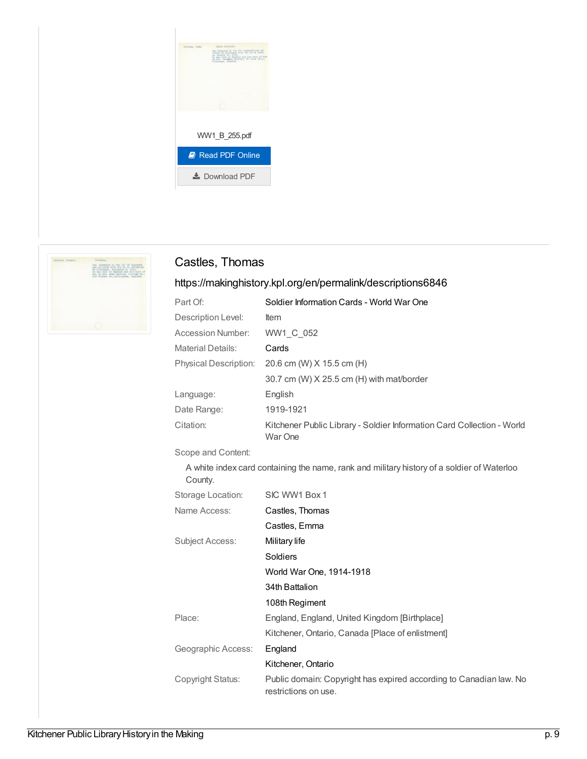



#### Castles, Thomas

#### <https://makinghistory.kpl.org/en/permalink/descriptions6846>

| Part Of:                     | Soldier Information Cards - World War One                                                  |
|------------------------------|--------------------------------------------------------------------------------------------|
| Description Level:           | <b>Item</b>                                                                                |
| <b>Accession Number:</b>     | WW1 C 052                                                                                  |
| <b>Material Details:</b>     | Cards                                                                                      |
| <b>Physical Description:</b> | 20.6 cm (W) X 15.5 cm (H)                                                                  |
|                              | 30.7 cm (W) X 25.5 cm (H) with mat/border                                                  |
| Language:                    | English                                                                                    |
| Date Range:                  | 1919-1921                                                                                  |
| Citation:                    | Kitchener Public Library - Soldier Information Card Collection - World<br>War One          |
| Scope and Content:           |                                                                                            |
| County.                      | A white index card containing the name, rank and military history of a soldier of Waterloo |
| Storage Location:            | SIC WW1 Box 1                                                                              |
| Name Access:                 | Castles, Thomas                                                                            |
|                              | Castles, Emma                                                                              |
| <b>Subject Access:</b>       | Military life                                                                              |
|                              | Soldiers                                                                                   |
|                              | World War One, 1914-1918                                                                   |
|                              | 34th Battalion                                                                             |
|                              | 108th Regiment                                                                             |
| Place:                       | England, England, United Kingdom [Birthplace]                                              |
|                              | Kitchener, Ontario, Canada [Place of enlistment]                                           |
| Geographic Access:           | England                                                                                    |
|                              | Kitchener, Ontario                                                                         |
| Copyright Status:            | Public domain: Copyright has expired according to Canadian law. No<br>restrictions on use. |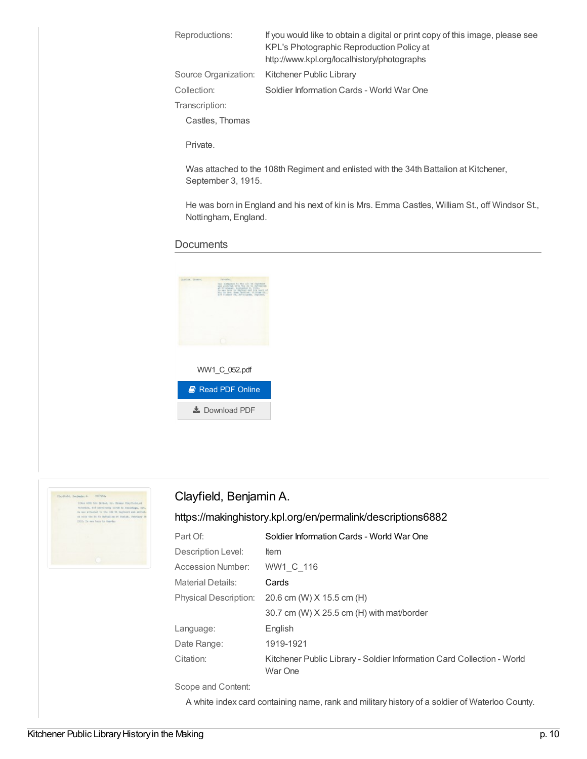| If you would like to obtain a digital or print copy of this image, please see<br>KPL's Photographic Reproduction Policy at<br>http://www.kpl.org/localhistory/photographs |
|---------------------------------------------------------------------------------------------------------------------------------------------------------------------------|
| Source Organization: Kitchener Public Library                                                                                                                             |
| Soldier Information Cards - World War One                                                                                                                                 |
|                                                                                                                                                                           |
|                                                                                                                                                                           |
|                                                                                                                                                                           |

Private.

Was attached to the 108th Regiment and enlisted with the 34th Battalion at Kitchener, September 3, 1915.

He was born in England and his next of kin is Mrs. Emma Castles, William St., off Windsor St., Nottingham, England.

#### **Documents**





#### Clayfield, Benjamin A.

#### <https://makinghistory.kpl.org/en/permalink/descriptions6882>

| Part Of:              | Soldier Information Cards - World War One                                         |
|-----------------------|-----------------------------------------------------------------------------------|
| Description Level:    | <b>Item</b>                                                                       |
| Accession Number:     | WW1 C 116                                                                         |
| Material Details:     | Cards                                                                             |
| Physical Description: | 20.6 cm (W) X 15.5 cm (H)                                                         |
|                       | 30.7 cm (W) X 25.5 cm (H) with mat/border                                         |
| Language:             | English                                                                           |
| Date Range:           | 1919-1921                                                                         |
| Citation:             | Kitchener Public Library - Soldier Information Card Collection - World<br>War One |

Scope and Content:

A white index card containing name, rank and military history of a soldier of Waterloo County.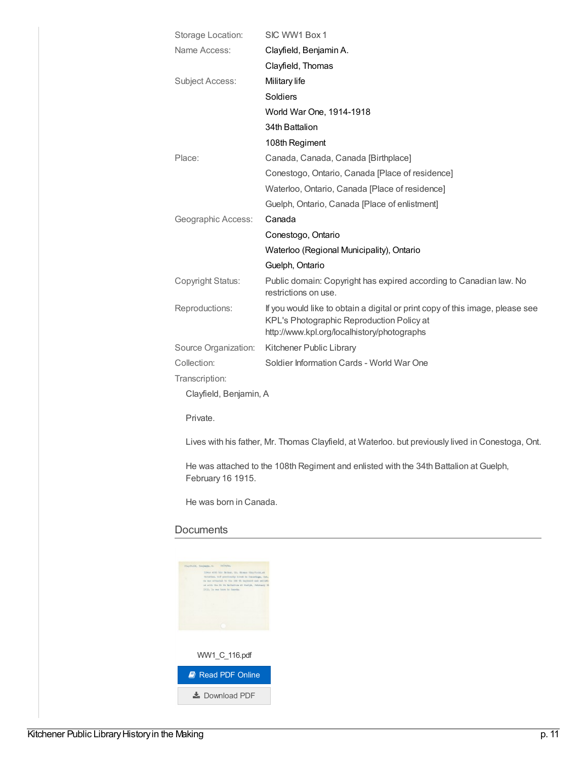| Clayfield, Benjamin A.<br>Clayfield, Thomas<br>Military life<br>Soldiers<br>World War One, 1914-1918<br>34th Battalion<br>108th Regiment<br>Canada, Canada, Canada [Birthplace]<br>Conestogo, Ontario, Canada [Place of residence]<br>Waterloo, Ontario, Canada [Place of residence]<br>Guelph, Ontario, Canada [Place of enlistment]<br>Canada<br>Conestogo, Ontario<br>Waterloo (Regional Municipality), Ontario<br>Guelph, Ontario<br>Public domain: Copyright has expired according to Canadian law. No<br>restrictions on use.<br>If you would like to obtain a digital or print copy of this image, please see<br>KPL's Photographic Reproduction Policy at<br>http://www.kpl.org/localhistory/photographs<br>Kitchener Public Library<br>Soldier Information Cards - World War One<br>Clayfield, Benjamin, A | Storage Location:      | SIC WW1 Box 1 |
|---------------------------------------------------------------------------------------------------------------------------------------------------------------------------------------------------------------------------------------------------------------------------------------------------------------------------------------------------------------------------------------------------------------------------------------------------------------------------------------------------------------------------------------------------------------------------------------------------------------------------------------------------------------------------------------------------------------------------------------------------------------------------------------------------------------------|------------------------|---------------|
|                                                                                                                                                                                                                                                                                                                                                                                                                                                                                                                                                                                                                                                                                                                                                                                                                     | Name Access:           |               |
|                                                                                                                                                                                                                                                                                                                                                                                                                                                                                                                                                                                                                                                                                                                                                                                                                     |                        |               |
|                                                                                                                                                                                                                                                                                                                                                                                                                                                                                                                                                                                                                                                                                                                                                                                                                     | <b>Subject Access:</b> |               |
|                                                                                                                                                                                                                                                                                                                                                                                                                                                                                                                                                                                                                                                                                                                                                                                                                     |                        |               |
|                                                                                                                                                                                                                                                                                                                                                                                                                                                                                                                                                                                                                                                                                                                                                                                                                     |                        |               |
|                                                                                                                                                                                                                                                                                                                                                                                                                                                                                                                                                                                                                                                                                                                                                                                                                     |                        |               |
|                                                                                                                                                                                                                                                                                                                                                                                                                                                                                                                                                                                                                                                                                                                                                                                                                     |                        |               |
|                                                                                                                                                                                                                                                                                                                                                                                                                                                                                                                                                                                                                                                                                                                                                                                                                     | Place:                 |               |
|                                                                                                                                                                                                                                                                                                                                                                                                                                                                                                                                                                                                                                                                                                                                                                                                                     |                        |               |
|                                                                                                                                                                                                                                                                                                                                                                                                                                                                                                                                                                                                                                                                                                                                                                                                                     |                        |               |
|                                                                                                                                                                                                                                                                                                                                                                                                                                                                                                                                                                                                                                                                                                                                                                                                                     |                        |               |
|                                                                                                                                                                                                                                                                                                                                                                                                                                                                                                                                                                                                                                                                                                                                                                                                                     | Geographic Access:     |               |
|                                                                                                                                                                                                                                                                                                                                                                                                                                                                                                                                                                                                                                                                                                                                                                                                                     |                        |               |
|                                                                                                                                                                                                                                                                                                                                                                                                                                                                                                                                                                                                                                                                                                                                                                                                                     |                        |               |
|                                                                                                                                                                                                                                                                                                                                                                                                                                                                                                                                                                                                                                                                                                                                                                                                                     |                        |               |
|                                                                                                                                                                                                                                                                                                                                                                                                                                                                                                                                                                                                                                                                                                                                                                                                                     | Copyright Status:      |               |
|                                                                                                                                                                                                                                                                                                                                                                                                                                                                                                                                                                                                                                                                                                                                                                                                                     | Reproductions:         |               |
|                                                                                                                                                                                                                                                                                                                                                                                                                                                                                                                                                                                                                                                                                                                                                                                                                     | Source Organization:   |               |
|                                                                                                                                                                                                                                                                                                                                                                                                                                                                                                                                                                                                                                                                                                                                                                                                                     | Collection:            |               |
|                                                                                                                                                                                                                                                                                                                                                                                                                                                                                                                                                                                                                                                                                                                                                                                                                     | Transcription:         |               |
|                                                                                                                                                                                                                                                                                                                                                                                                                                                                                                                                                                                                                                                                                                                                                                                                                     |                        |               |
| Private.                                                                                                                                                                                                                                                                                                                                                                                                                                                                                                                                                                                                                                                                                                                                                                                                            |                        |               |

Lives with his father, Mr. Thomas Clayfield, at Waterloo. but previously lived in Conestoga, Ont.

He was attached to the 108th Regiment and enlisted with the 34th Battalion at Guelph, February 16 1915.

He was born in Canada.

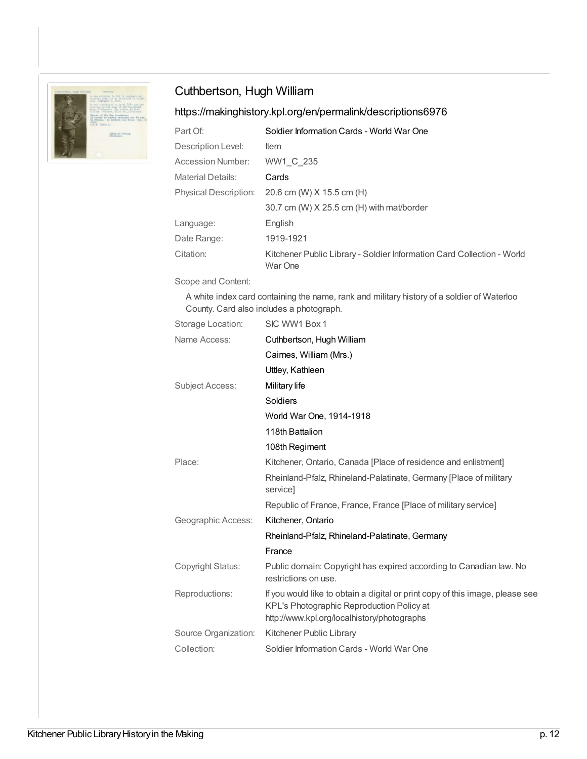

### Cuthbertson, Hugh William

## <https://makinghistory.kpl.org/en/permalink/descriptions6976>

| Part Of:                     | Soldier Information Cards - World War One                                         |
|------------------------------|-----------------------------------------------------------------------------------|
| Description Level:           | <b>Item</b>                                                                       |
| Accession Number:            | WW1 C 235                                                                         |
| <b>Material Details:</b>     | Cards                                                                             |
| <b>Physical Description:</b> | 20.6 cm (W) X 15.5 cm (H)                                                         |
|                              | 30.7 cm (W) X 25.5 cm (H) with mat/border                                         |
| Language:                    | English                                                                           |
| Date Range:                  | 1919-1921                                                                         |
| Citation:                    | Kitchener Public Library - Soldier Information Card Collection - World<br>War One |

Scope and Content:

A white index card containing the name, rank and military history of a soldier of Waterloo County. Card also includes a photograph.

| Storage Location:      | SIC WW1 Box 1                                                                                                                                                             |
|------------------------|---------------------------------------------------------------------------------------------------------------------------------------------------------------------------|
| Name Access:           | Cuthbertson, Hugh William                                                                                                                                                 |
|                        | Cairnes, William (Mrs.)                                                                                                                                                   |
|                        | Uttley, Kathleen                                                                                                                                                          |
| <b>Subject Access:</b> | Military life                                                                                                                                                             |
|                        | Soldiers                                                                                                                                                                  |
|                        | World War One, 1914-1918                                                                                                                                                  |
|                        | 118th Battalion                                                                                                                                                           |
|                        | 108th Regiment                                                                                                                                                            |
| Place:                 | Kitchener, Ontario, Canada [Place of residence and enlistment]                                                                                                            |
|                        | Rheinland-Pfalz, Rhineland-Palatinate, Germany [Place of military<br>servicel                                                                                             |
|                        | Republic of France, France, France [Place of military service]                                                                                                            |
| Geographic Access:     | Kitchener, Ontario                                                                                                                                                        |
|                        | Rheinland-Pfalz, Rhineland-Palatinate, Germany                                                                                                                            |
|                        | France                                                                                                                                                                    |
| Copyright Status:      | Public domain: Copyright has expired according to Canadian law. No<br>restrictions on use.                                                                                |
| Reproductions:         | If you would like to obtain a digital or print copy of this image, please see<br>KPL's Photographic Reproduction Policy at<br>http://www.kpl.org/localhistory/photographs |
| Source Organization:   | Kitchener Public Library                                                                                                                                                  |
| Collection:            | Soldier Information Cards - World War One                                                                                                                                 |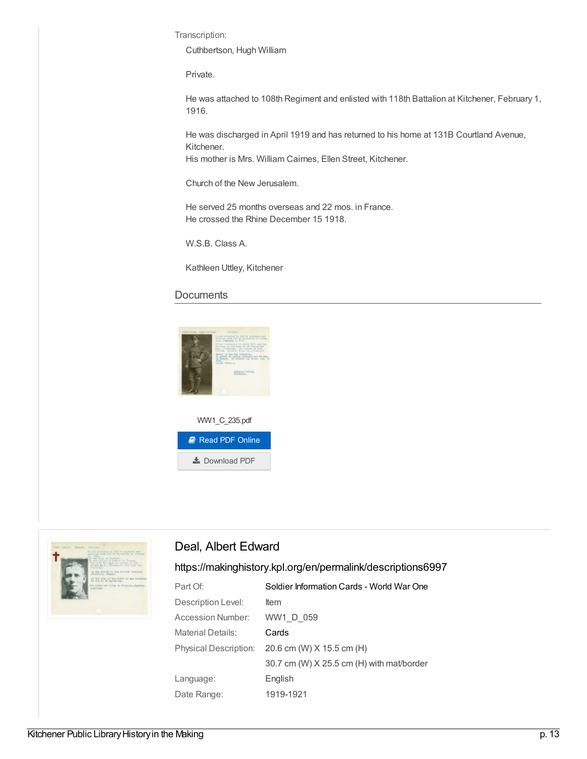Transcription:

Cuthbertson, Hugh William

Private.

He was attached to 108th Regiment and enlisted with 118th Battalion at Kitchener, February 1, 1916.

He was discharged in April 1919 and has returned to his home at 131B Courtland Avenue, Kitchener.

His mother is Mrs. William Cairnes, Ellen Street, Kitchener.

Church of the New Jerusalem.

He served 25 months overseas and 22 mos. in France. He crossed the Rhine December 15 1918.

W.S.B. Class A.

Kathleen Uttley, Kitchener

#### **Documents**





#### Deal, Albert Edward

#### <https://makinghistory.kpl.org/en/permalink/descriptions6997>

| Part Of:                     | Soldier Information Cards - World War One |
|------------------------------|-------------------------------------------|
| Description Level:           | ltem                                      |
| <b>Accession Number:</b>     | WW1 D 059                                 |
| <b>Material Details:</b>     | Cards                                     |
| <b>Physical Description:</b> | 20.6 cm (W) X 15.5 cm (H)                 |
|                              | 30.7 cm (W) X 25.5 cm (H) with mat/border |
| Language:                    | English                                   |
| Date Range:                  | 1919-1921                                 |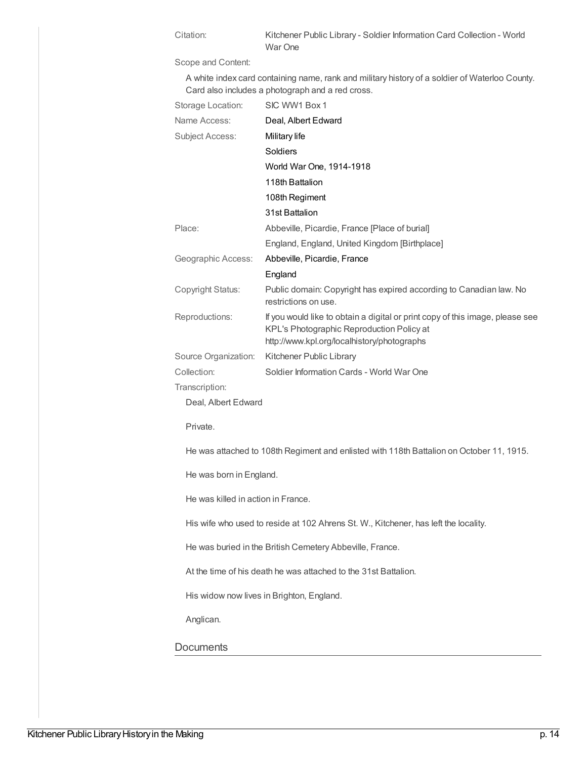Citation: Kitchener Public Library - Soldier Information Card Collection - World War One

Scope and Content:

A white index card containing name, rank and military history of a soldier of Waterloo County. Card also includes a photograph and a red cross.

| Storage Location:    | SIC WW1 Box 1                                                                                                                                                             |
|----------------------|---------------------------------------------------------------------------------------------------------------------------------------------------------------------------|
| Name Access:         | Deal, Albert Edward                                                                                                                                                       |
| Subject Access:      | Military life                                                                                                                                                             |
|                      | Soldiers                                                                                                                                                                  |
|                      | World War One, 1914-1918                                                                                                                                                  |
|                      | 118th Battalion                                                                                                                                                           |
|                      | 108th Regiment                                                                                                                                                            |
|                      | 31st Battalion                                                                                                                                                            |
| Place:               | Abbeville, Picardie, France [Place of burial]                                                                                                                             |
|                      | England, England, United Kingdom [Birthplace]                                                                                                                             |
| Geographic Access:   | Abbeville, Picardie, France                                                                                                                                               |
|                      | England                                                                                                                                                                   |
| Copyright Status:    | Public domain: Copyright has expired according to Canadian law. No<br>restrictions on use.                                                                                |
| Reproductions:       | If you would like to obtain a digital or print copy of this image, please see<br>KPL's Photographic Reproduction Policy at<br>http://www.kpl.org/localhistory/photographs |
| Source Organization: | Kitchener Public Library                                                                                                                                                  |
| Collection:          | Soldier Information Cards - World War One                                                                                                                                 |
| Transcription:       |                                                                                                                                                                           |
| Deal, Albert Edward  |                                                                                                                                                                           |

Private.

He was attached to 108th Regiment and enlisted with 118th Battalion on October 11, 1915.

He was born in England.

He was killed in action in France.

His wife who used to reside at 102 Ahrens St. W., Kitchener, has left the locality.

He was buried in the British Cemetery Abbeville, France.

At the time of his death he was attached to the 31st Battalion.

His widow now lives in Brighton, England.

Anglican.